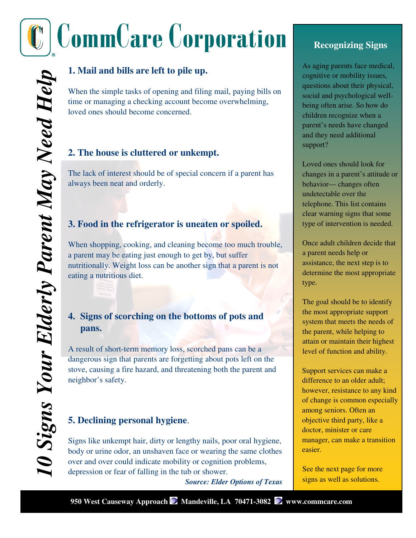# **CommCare Corporation**

# **1. Mail and bills are left to pile up.**

When the simple tasks of opening and filing mail, paying bills on time or managing a checking account become overwhelming, loved ones should become concerned.

#### **2. The house is cluttered or unkempt.**

The lack of interest should be of special concern if a parent has always been neat and orderly.

#### **3. Food in the refrigerator is uneaten or spoiled.**

When shopping, cooking, and cleaning become too much trouble, a parent may be eating just enough to get by, but suffer nutritionally. Weight loss can be another sign that a parent is not eating a nutritious diet.

#### **4. Signs of scorching on the bottoms of pots and pans.**

A result of short-term memory loss, scorched pans can be a dangerous sign that parents are forgetting about pots left on the stove, causing a fire hazard, and threatening both the parent and neighbor's safety.

#### **5. Declining personal hygiene**.

Signs like unkempt hair, dirty or lengthy nails, poor oral hygiene, body or urine odor, an unshaven face or wearing the same clothes over and over could indicate mobility or cognition problems, depression or fear of falling in the tub or shower.

*Source: Elder Options of Texas* 

## **Recognizing Signs**

As aging parents face medical, cognitive or mobility issues, questions about their physical, social and psychological wellbeing often arise. So how do children recognize when a parent's needs have changed and they need additional support?

Loved ones should look for changes in a parent's attitude or behavior— changes often undetectable over the telephone. This list contains clear warning signs that some type of intervention is needed.

Once adult children decide that a parent needs help or assistance, the next step is to determine the most appropriate type.

The goal should be to identify the most appropriate support system that meets the needs of the parent, while helping to attain or maintain their highest level of function and ability.

Support services can make a difference to an older adult; however, resistance to any kind of change is common especially among seniors. Often an objective third party, like a doctor, minister or care manager, can make a transition easier.

See the next page for more signs as well as solutions.